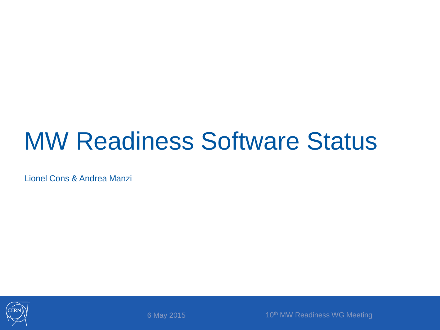#### MW Readiness Software Status

Lionel Cons & Andrea Manzi



6 May 2015 10th MW Readiness WG Meeting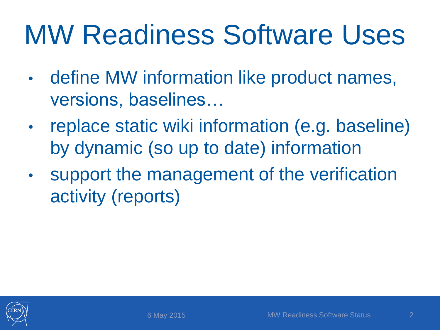# MW Readiness Software Uses

- define MW information like product names, versions, baselines…
- replace static wiki information (e.g. baseline) by dynamic (so up to date) information
- support the management of the verification activity (reports)

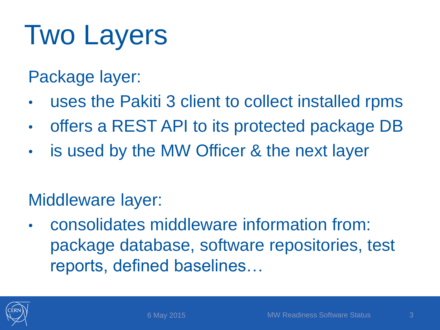# Two Layers

Package layer:

- uses the Pakiti 3 client to collect installed rpms
- offers a REST API to its protected package DB
- is used by the MW Officer & the next layer

#### Middleware layer:

• consolidates middleware information from: package database, software repositories, test reports, defined baselines…

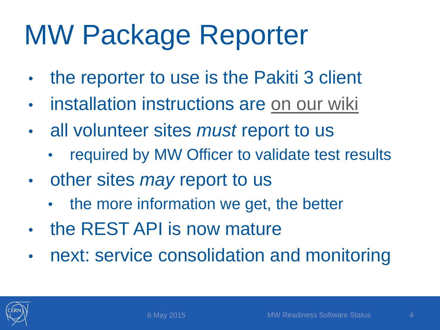# MW Package Reporter

- the reporter to use is the Pakiti 3 client
- installation instructions are [on our wiki](https://twiki.cern.ch/twiki/bin/view/LCG/MiddlewarePackageReporter)
- all volunteer sites *must* report to us
	- required by MW Officer to validate test results
- other sites *may* report to us
	- the more information we get, the better
- the REST API is now mature
- next: service consolidation and monitoring

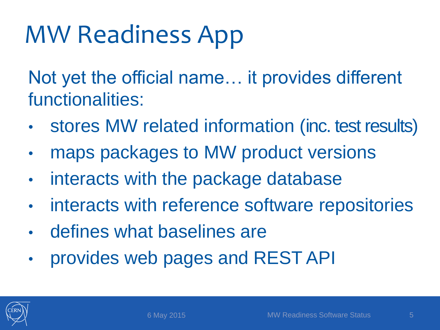#### MW Readiness App

Not yet the official name… it provides different functionalities:

- stores MW related information (inc. test results)
- maps packages to MW product versions
- interacts with the package database
- interacts with reference software repositories
- defines what baselines are
- provides web pages and REST API

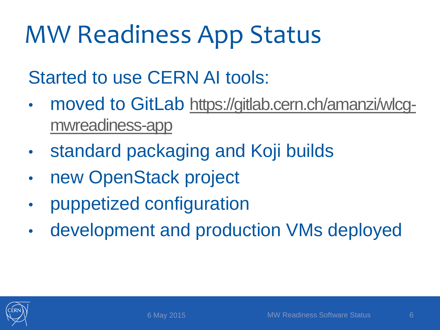#### MW Readiness App Status

Started to use CERN AI tools:

- moved to GitLab [https://gitlab.cern.ch/amanzi/wlcg](https://gitlab.cern.ch/amanzi/wlcg-mwreadiness-app)mwreadiness-app
- standard packaging and Koji builds
- new OpenStack project
- puppetized configuration
- development and production VMs deployed

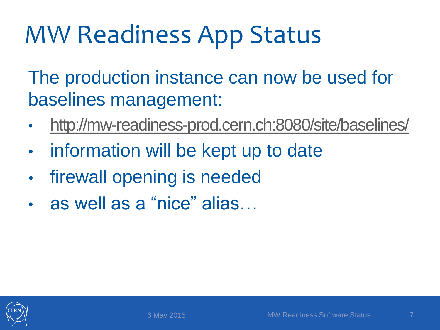#### MW Readiness App Status

The production instance can now be used for baselines management:

- <http://mw-readiness-prod.cern.ch:8080/site/baselines/>
- information will be kept up to date
- firewall opening is needed
- as well as a "nice" alias...

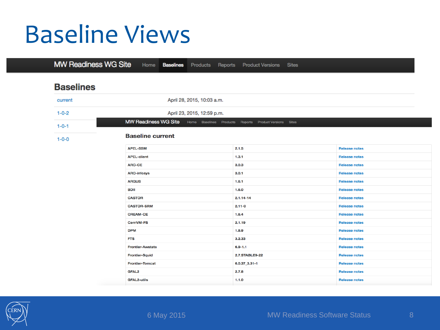#### Baseline Views

**MW Readiness WG Site** Home **Baselines Product Versions Sites** Products Reports

#### **Baselines**

| current     | April 28, 2015, 10:03 a.m.                                                  |                                |                      |  |  |
|-------------|-----------------------------------------------------------------------------|--------------------------------|----------------------|--|--|
| $1 - 0 - 2$ | April 23, 2015, 12:59 p.m.                                                  |                                |                      |  |  |
| $1 - 0 - 1$ | MW Readiness WG Site Home Baselines Products Reports Product Versions Sites |                                |                      |  |  |
| $1 - 0 - 0$ | <b>Baseline current</b>                                                     |                                |                      |  |  |
|             | <b>APEL-SSM</b>                                                             | 2.1.5                          | <b>Release notes</b> |  |  |
|             | <b>APEL-client</b>                                                          | 1.3.1                          | <b>Release notes</b> |  |  |
|             | <b>ARC-CE</b>                                                               | 3.0.3                          | <b>Release notes</b> |  |  |
|             | <b>ARC-infosys</b>                                                          | 3.0.1                          | <b>Release notes</b> |  |  |
|             | <b>ARGUS</b>                                                                | 1.6.1                          | <b>Release notes</b> |  |  |
|             | <b>BDII</b>                                                                 | 1.6.0                          | <b>Release notes</b> |  |  |
|             | <b>CASTOR</b>                                                               | $2.1.14 - 14$                  | <b>Release notes</b> |  |  |
|             | <b>CASTOR-SRM</b>                                                           | $2.11 - 0$                     | <b>Release notes</b> |  |  |
|             | <b>CREAM-CE</b>                                                             | 1.6.4                          | <b>Release notes</b> |  |  |
|             | CernVM-FS                                                                   | 2.1.19                         | <b>Release notes</b> |  |  |
|             | <b>DPM</b>                                                                  | 1.8.9                          | <b>Release notes</b> |  |  |
|             | <b>FTS</b>                                                                  | 3.2.33<br><b>Release notes</b> |                      |  |  |
|             | <b>Frontier-Awstats</b>                                                     | $6.9 - 1.1$                    | <b>Release notes</b> |  |  |
|             | <b>Frontier-Squid</b>                                                       | 2.7.STABLE9-22                 | <b>Release notes</b> |  |  |
|             | <b>Frontier-Tomcat</b>                                                      | $6.0.37 - 3.31 - 1$            | <b>Release notes</b> |  |  |
|             | <b>GFAL2</b>                                                                | 2.7.8                          | <b>Release notes</b> |  |  |
|             | <b>GFAL2-utils</b>                                                          | 1.1.0                          | <b>Release notes</b> |  |  |

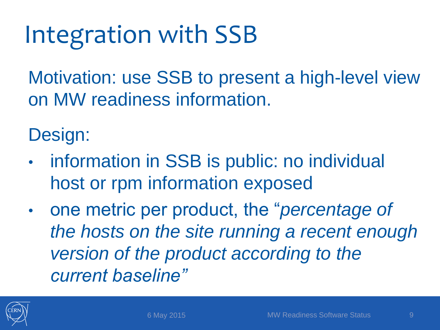## Integration with SSB

Motivation: use SSB to present a high-level view on MW readiness information.

Design:

- information in SSB is public: no individual host or rpm information exposed
- one metric per product, the "*percentage of the hosts on the site running a recent enough version of the product according to the current baseline"*

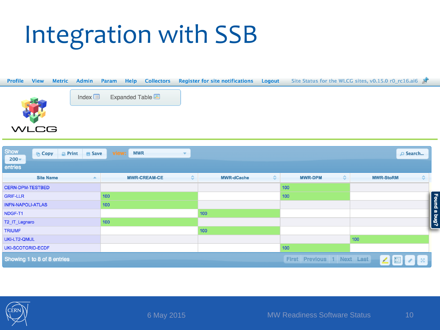#### Integration with SSB



| <b>Show</b><br>$Q$ Print<br><b>B</b> Save<br><b>B</b> Copy<br>$200 -$<br>entries | view:<br><b>MWR</b>      |                        |                                   | D Search              |
|----------------------------------------------------------------------------------|--------------------------|------------------------|-----------------------------------|-----------------------|
| <b>Site Name</b>                                                                 | ٠<br><b>MWR-CREAM-CE</b> | <b>MWR-dCache</b><br>≎ | <b>MWR-DPM</b><br>٠               | ≎<br><b>MWR-StoRM</b> |
| <b>CERN-DPM-TESTBED</b>                                                          |                          |                        | 100                               |                       |
| <b>GRIF-LLR</b>                                                                  | 100                      |                        | 100                               |                       |
| <b>INFN-NAPOLI-ATLAS</b>                                                         | 100                      |                        |                                   | Found a bug?          |
| NDGF-T1                                                                          |                          | 100                    |                                   |                       |
| T2_IT_Legnaro                                                                    | 100                      |                        |                                   |                       |
| <b>TRIUMF</b>                                                                    |                          | 100                    |                                   |                       |
| UKI-LT2-QMUL                                                                     |                          |                        |                                   | 100                   |
| <b>UKI-SCOTGRID-ECDF</b>                                                         |                          |                        | 100                               |                       |
| Showing 1 to 8 of 8 entries                                                      |                          |                        | <b>First Previous 1 Next Last</b> | ∠ 圖<br>88             |

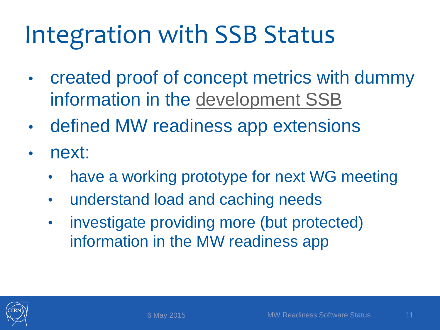### Integration with SSB Status

- created proof of concept metrics with dummy information in the [development SSB](https://wlcg-mon-dev.cern.ch/dashboard/request.py/siteview?view=MWR#currentView=MWR)
- defined MW readiness app extensions
- next:
	- have a working prototype for next WG meeting
	- understand load and caching needs
	- investigate providing more (but protected) information in the MW readiness app